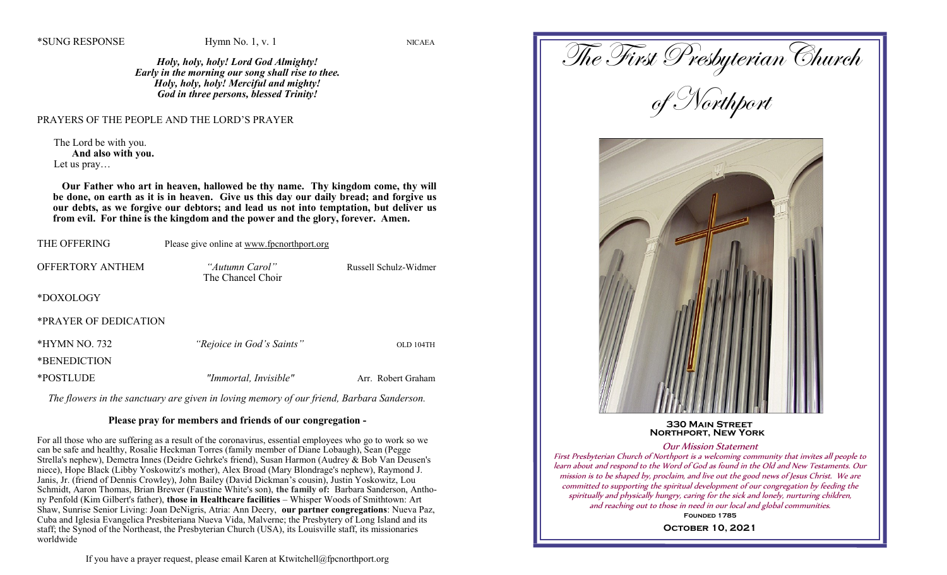*Holy, holy, holy! Lord God Almighty! Early in the morning our song shall rise to thee. Holy, holy, holy! Merciful and mighty! God in three persons, blessed Trinity!*

## PRAYERS OF THE PEOPLE AND THE LORD'S PRAYER

The Lord be with you. **And also with you.** Let us pray…

 **Our Father who art in heaven, hallowed be thy name. Thy kingdom come, thy will be done, on earth as it is in heaven. Give us this day our daily bread; and forgive us our debts, as we forgive our debtors; and lead us not into temptation, but deliver us from evil. For thine is the kingdom and the power and the glory, forever. Amen.**

| <b>THE OFFERING</b>             | Please give online at www.fpcnorthport.org |                       |
|---------------------------------|--------------------------------------------|-----------------------|
| <b>OFFERTORY ANTHEM</b>         | "Autumn Carol"<br>The Chancel Choir        | Russell Schulz-Widmer |
| *DOXOLOGY                       |                                            |                       |
| *PRAYER OF DEDICATION           |                                            |                       |
| $*HYMN NO. 732$<br>*BENEDICTION | "Rejoice in God's Saints"                  | OLD 104TH             |
| *POSTLUDE                       | "Immortal, Invisible"                      | Arr. Robert Graham    |

*The flowers in the sanctuary are given in loving memory of our friend, Barbara Sanderson.*

## **Please pray for members and friends of our congregation -**

For all those who are suffering as a result of the coronavirus, essential employees who go to work so we can be safe and healthy, Rosalie Heckman Torres (family member of Diane Lobaugh), Sean (Pegge Strella's nephew), Demetra Innes (Deidre Gehrke's friend), Susan Harmon (Audrey & Bob Van Deusen's niece), Hope Black (Libby Yoskowitz's mother), Alex Broad (Mary Blondrage's nephew), Raymond J. Janis, Jr. (friend of Dennis Crowley), John Bailey (David Dickman's cousin), Justin Yoskowitz, Lou Schmidt, Aaron Thomas, Brian Brewer (Faustine White's son), **the family of:** Barbara Sanderson, Anthony Penfold (Kim Gilbert's father), **those in Healthcare facilities** – Whisper Woods of Smithtown: Art Shaw, Sunrise Senior Living: Joan DeNigris, Atria: Ann Deery, **our partner congregations**: Nueva Paz, Cuba and Iglesia Evangelica Presbiteriana Nueva Vida, Malverne; the Presbytery of Long Island and its staff; the Synod of the Northeast, the Presbyterian Church (USA), its Louisville staff, its missionaries worldwide

```
If you have a prayer request, please email Karen at Ktwitchell@fpcnorthport.org
```
The First Presbyterian Church of Northport  **330 Main Street Northport, New York** Our Mission Statement First Presbyterian Church of Northport is a welcoming community that invites all people to learn about and respond to the Word of God as found in the Old and New Testaments. Our mission is to be shaped by, proclaim, and live out the good news of Jesus Christ. We are

spiritually and physically hungry, caring for the sick and lonely, nurturing children, and reaching out to those in need in our local and global communities.

committed to supporting the spiritual development of our congregation by feeding the

**Founded 1785 October 10, 2021**